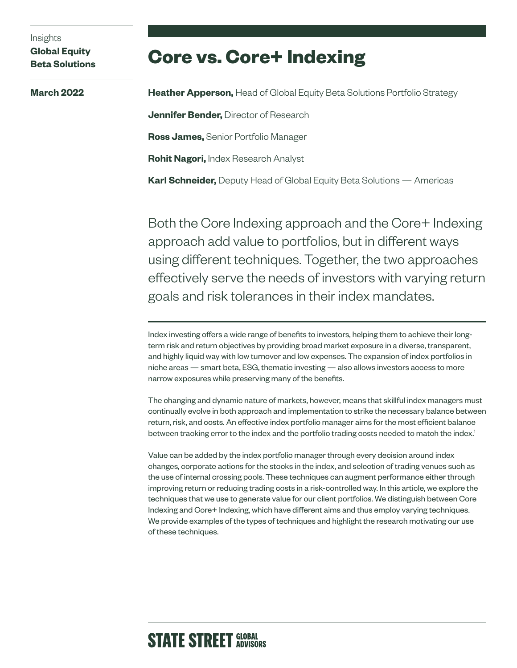# Insights

## **Global Equity Beta Solutions**

**March 2022**

# **Core vs. Core+ Indexing**

**Heather Apperson,** Head of Global Equity Beta Solutions Portfolio Strategy **Jennifer Bender,** Director of Research **Ross James,** Senior Portfolio Manager **Rohit Nagori,** Index Research Analyst **Karl Schneider,** Deputy Head of Global Equity Beta Solutions — Americas

Both the Core Indexing approach and the Core+ Indexing approach add value to portfolios, but in different ways using different techniques. Together, the two approaches effectively serve the needs of investors with varying return goals and risk tolerances in their index mandates.

Index investing offers a wide range of benefits to investors, helping them to achieve their longterm risk and return objectives by providing broad market exposure in a diverse, transparent, and highly liquid way with low turnover and low expenses. The expansion of index portfolios in niche areas — smart beta, ESG, thematic investing — also allows investors access to more narrow exposures while preserving many of the benefits.

The changing and dynamic nature of markets, however, means that skillful index managers must continually evolve in both approach and implementation to strike the necessary balance between return, risk, and costs. An effective index portfolio manager aims for the most efficient balance between tracking error to the index and the portfolio trading costs needed to match the index.<sup>1</sup>

Value can be added by the index portfolio manager through every decision around index changes, corporate actions for the stocks in the index, and selection of trading venues such as the use of internal crossing pools. These techniques can augment performance either through improving return or reducing trading costs in a risk-controlled way. In this article, we explore the techniques that we use to generate value for our client portfolios. We distinguish between Core Indexing and Core+ Indexing, which have different aims and thus employ varying techniques. We provide examples of the types of techniques and highlight the research motivating our use of these techniques.

# **STATE STREET GLOBAL**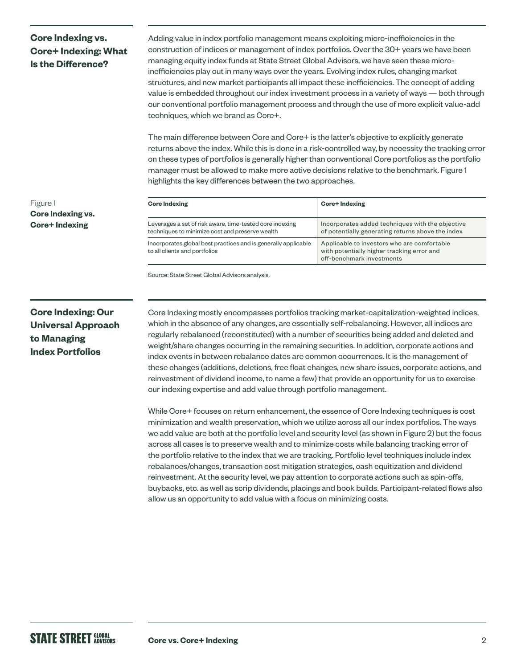# **Core Indexing vs. Core+ Indexing: What Is the Difference?**

Adding value in index portfolio management means exploiting micro-inefficiencies in the construction of indices or management of index portfolios. Over the 30+ years we have been managing equity index funds at State Street Global Advisors, we have seen these microinefficiencies play out in many ways over the years. Evolving index rules, changing market structures, and new market participants all impact these inefficiencies. The concept of adding value is embedded throughout our index investment process in a variety of ways — both through our conventional portfolio management process and through the use of more explicit value-add techniques, which we brand as Core+.

The main difference between Core and Core+ is the latter's objective to explicitly generate returns above the index. While this is done in a risk-controlled way, by necessity the tracking error on these types of portfolios is generally higher than conventional Core portfolios as the portfolio manager must be allowed to make more active decisions relative to the benchmark. Figure 1 highlights the key differences between the two approaches.

| <b>Core Indexing</b>                                                                                        | <b>Core+Indexing</b>                                                                                                   |
|-------------------------------------------------------------------------------------------------------------|------------------------------------------------------------------------------------------------------------------------|
| Leverages a set of risk aware, time-tested core indexing<br>techniques to minimize cost and preserve wealth | Incorporates added techniques with the objective<br>of potentially generating returns above the index                  |
| Incorporates global best practices and is generally applicable<br>to all clients and portfolios             | Applicable to investors who are comfortable<br>with potentially higher tracking error and<br>off-benchmark investments |

Source: State Street Global Advisors analysis.

# **Core Indexing: Our Universal Approach to Managing Index Portfolios**

Figure 1

**Core Indexing vs. Core+ Indexing**

> Core Indexing mostly encompasses portfolios tracking market-capitalization-weighted indices, which in the absence of any changes, are essentially self-rebalancing. However, all indices are regularly rebalanced (reconstituted) with a number of securities being added and deleted and weight/share changes occurring in the remaining securities. In addition, corporate actions and index events in between rebalance dates are common occurrences. It is the management of these changes (additions, deletions, free float changes, new share issues, corporate actions, and reinvestment of dividend income, to name a few) that provide an opportunity for us to exercise our indexing expertise and add value through portfolio management.

> While Core+ focuses on return enhancement, the essence of Core Indexing techniques is cost minimization and wealth preservation, which we utilize across all our index portfolios. The ways we add value are both at the portfolio level and security level (as shown in Figure 2) but the focus across all cases is to preserve wealth and to minimize costs while balancing tracking error of the portfolio relative to the index that we are tracking. Portfolio level techniques include index rebalances/changes, transaction cost mitigation strategies, cash equitization and dividend reinvestment. At the security level, we pay attention to corporate actions such as spin-offs, buybacks, etc. as well as scrip dividends, placings and book builds. Participant-related flows also allow us an opportunity to add value with a focus on minimizing costs.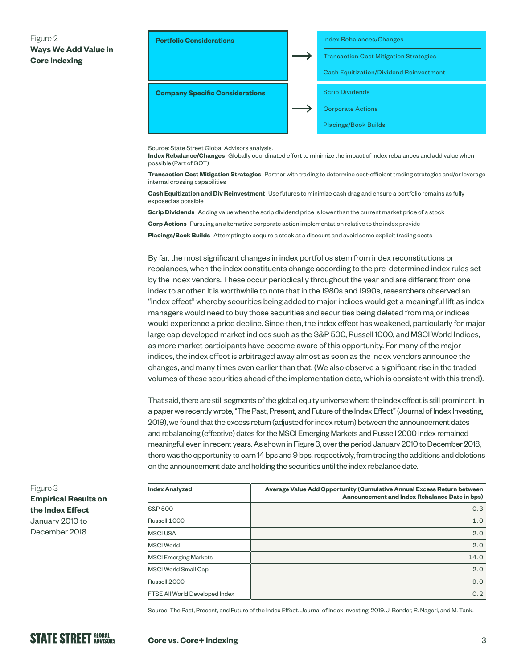## Figure 2 **Ways We Add Value in Core Indexing**



Source: State Street Global Advisors analysis.

**Index Rebalance/Changes** Globally coordinated effort to minimize the impact of index rebalances and add value when possible (Part of GOT)

**Transaction Cost Mitigation Strategies** Partner with trading to determine cost-efficient trading strategies and/or leverage internal crossing capabilities

**Cash Equitization and Div Reinvestment** Use futures to minimize cash drag and ensure a portfolio remains as fully exposed as possible

**Scrip Dividends** Adding value when the scrip dividend price is lower than the current market price of a stock

**Corp Actions** Pursuing an alternative corporate action implementation relative to the index provide

**Placings/Book Builds** Attempting to acquire a stock at a discount and avoid some explicit trading costs

By far, the most significant changes in index portfolios stem from index reconstitutions or rebalances, when the index constituents change according to the pre-determined index rules set by the index vendors. These occur periodically throughout the year and are different from one index to another. It is worthwhile to note that in the 1980s and 1990s, researchers observed an "index effect" whereby securities being added to major indices would get a meaningful lift as index managers would need to buy those securities and securities being deleted from major indices would experience a price decline. Since then, the index effect has weakened, particularly for major large cap developed market indices such as the S&P 500, Russell 1000, and MSCI World Indices, as more market participants have become aware of this opportunity. For many of the major indices, the index effect is arbitraged away almost as soon as the index vendors announce the changes, and many times even earlier than that. (We also observe a significant rise in the traded volumes of these securities ahead of the implementation date, which is consistent with this trend).

That said, there are still segments of the global equity universe where the index effect is still prominent. In a paper we recently wrote, "The Past, Present, and Future of the Index Effect" (Journal of Index Investing, 2019), we found that the excess return (adjusted for index return) between the announcement dates and rebalancing (effective) dates for the MSCI Emerging Markets and Russell 2000 Index remained meaningful even in recent years. As shown in Figure 3, over the period January 2010 to December 2018, there was the opportunity to earn 14 bps and 9 bps, respectively, from trading the additions and deletions on the announcement date and holding the securities until the index rebalance date.

| <b>Index Analyzed</b>          | Average Value Add Opportunity (Cumulative Annual Excess Return between<br>Announcement and Index Rebalance Date in bps) |
|--------------------------------|-------------------------------------------------------------------------------------------------------------------------|
| S&P 500                        | $-0.3$                                                                                                                  |
| Russell 1000                   | 1.0                                                                                                                     |
| <b>MSCIUSA</b>                 | 2.0                                                                                                                     |
| <b>MSCI World</b>              | 2.0                                                                                                                     |
| <b>MSCI Emerging Markets</b>   | 14.0                                                                                                                    |
| MSCI World Small Cap           | 2.0                                                                                                                     |
| Russell 2000                   | 9.0                                                                                                                     |
| FTSE All World Developed Index | 0.2                                                                                                                     |

Source: The Past, Present, and Future of the Index Effect. Journal of Index Investing, 2019. J. Bender, R. Nagori, and M. Tank.

Figure 3 **Empirical Results on the Index Effect**  January 2010 to December 2018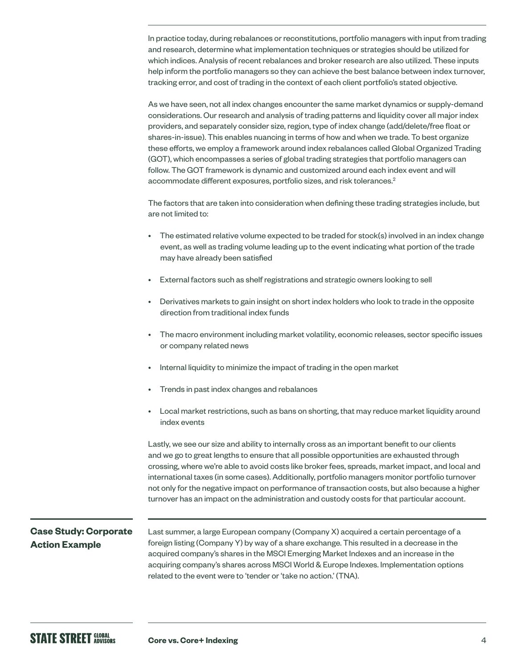In practice today, during rebalances or reconstitutions, portfolio managers with input from trading and research, determine what implementation techniques or strategies should be utilized for which indices. Analysis of recent rebalances and broker research are also utilized. These inputs help inform the portfolio managers so they can achieve the best balance between index turnover, tracking error, and cost of trading in the context of each client portfolio's stated objective.

As we have seen, not all index changes encounter the same market dynamics or supply-demand considerations. Our research and analysis of trading patterns and liquidity cover all major index providers, and separately consider size, region, type of index change (add/delete/free float or shares-in-issue). This enables nuancing in terms of how and when we trade. To best organize these efforts, we employ a framework around index rebalances called Global Organized Trading (GOT), which encompasses a series of global trading strategies that portfolio managers can follow. The GOT framework is dynamic and customized around each index event and will accommodate different exposures, portfolio sizes, and risk tolerances.2

The factors that are taken into consideration when defining these trading strategies include, but are not limited to:

- The estimated relative volume expected to be traded for stock(s) involved in an index change event, as well as trading volume leading up to the event indicating what portion of the trade may have already been satisfied
- External factors such as shelf registrations and strategic owners looking to sell
- Derivatives markets to gain insight on short index holders who look to trade in the opposite direction from traditional index funds
- The macro environment including market volatility, economic releases, sector specific issues or company related news
- Internal liquidity to minimize the impact of trading in the open market
- Trends in past index changes and rebalances
- Local market restrictions, such as bans on shorting, that may reduce market liquidity around index events

Lastly, we see our size and ability to internally cross as an important benefit to our clients and we go to great lengths to ensure that all possible opportunities are exhausted through crossing, where we're able to avoid costs like broker fees, spreads, market impact, and local and international taxes (in some cases). Additionally, portfolio managers monitor portfolio turnover not only for the negative impact on performance of transaction costs, but also because a higher turnover has an impact on the administration and custody costs for that particular account.

## **Case Study: Corporate Action Example**

Last summer, a large European company (Company X) acquired a certain percentage of a foreign listing (Company Y) by way of a share exchange. This resulted in a decrease in the acquired company's shares in the MSCI Emerging Market Indexes and an increase in the acquiring company's shares across MSCI World & Europe Indexes. Implementation options related to the event were to 'tender or 'take no action.' (TNA).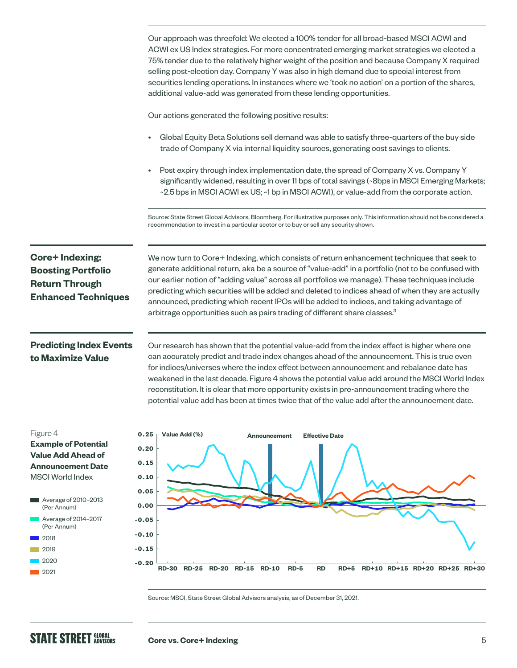|                                                                                                                             | Our approach was threefold: We elected a 100% tender for all broad-based MSCI ACWI and<br>ACWI ex US Index strategies. For more concentrated emerging market strategies we elected a<br>75% tender due to the relatively higher weight of the position and because Company X required<br>selling post-election day. Company Y was also in high demand due to special interest from<br>securities lending operations. In instances where we 'took no action' on a portion of the shares,<br>additional value-add was generated from these lending opportunities.                                 |
|-----------------------------------------------------------------------------------------------------------------------------|-------------------------------------------------------------------------------------------------------------------------------------------------------------------------------------------------------------------------------------------------------------------------------------------------------------------------------------------------------------------------------------------------------------------------------------------------------------------------------------------------------------------------------------------------------------------------------------------------|
|                                                                                                                             | Our actions generated the following positive results:                                                                                                                                                                                                                                                                                                                                                                                                                                                                                                                                           |
|                                                                                                                             | Global Equity Beta Solutions sell demand was able to satisfy three-quarters of the buy side<br>trade of Company X via internal liquidity sources, generating cost savings to clients.                                                                                                                                                                                                                                                                                                                                                                                                           |
|                                                                                                                             | Post expiry through index implementation date, the spread of Company X vs. Company Y<br>significantly widened, resulting in over 11 bps of total savings (~8bps in MSCI Emerging Markets;<br>~2.5 bps in MSCI ACWI ex US; ~1 bp in MSCI ACWI), or value-add from the corporate action.                                                                                                                                                                                                                                                                                                          |
|                                                                                                                             | Source: State Street Global Advisors, Bloomberg. For illustrative purposes only. This information should not be considered a<br>recommendation to invest in a particular sector or to buy or sell any security shown.                                                                                                                                                                                                                                                                                                                                                                           |
| <b>Core+Indexing:</b><br><b>Boosting Portfolio</b><br><b>Return Through</b><br><b>Enhanced Techniques</b>                   | We now turn to Core+ Indexing, which consists of return enhancement techniques that seek to<br>generate additional return, aka be a source of "value-add" in a portfolio (not to be confused with<br>our earlier notion of "adding value" across all portfolios we manage). These techniques include<br>predicting which securities will be added and deleted to indices ahead of when they are actually<br>announced, predicting which recent IPOs will be added to indices, and taking advantage of<br>arbitrage opportunities such as pairs trading of different share classes. <sup>3</sup> |
| <b>Predicting Index Events</b><br>to Maximize Value                                                                         | Our research has shown that the potential value-add from the index effect is higher where one<br>can accurately predict and trade index changes ahead of the announcement. This is true even<br>for indices/universes where the index effect between announcement and rebalance date has<br>weakened in the last decade. Figure 4 shows the potential value add around the MSCI World Index<br>reconstitution. It is clear that more opportunity exists in pre-announcement trading where the<br>potential value add has been at times twice that of the value add after the announcement date. |
| Figure 4<br><b>Example of Potential</b><br><b>Value Add Ahead of</b><br><b>Announcement Date</b><br><b>MSCI World Index</b> | Value Add (%)<br>0.25<br><b>Effective Date</b><br><b>Announcement</b><br>0.20<br>0.15<br>0.10                                                                                                                                                                                                                                                                                                                                                                                                                                                                                                   |
| Average of 2010-2013<br>(Per Annum)                                                                                         | 0.05<br>0.00                                                                                                                                                                                                                                                                                                                                                                                                                                                                                                                                                                                    |
| Average of 2014-2017<br>(Per Annum)                                                                                         | $-0.05$                                                                                                                                                                                                                                                                                                                                                                                                                                                                                                                                                                                         |
| 2018                                                                                                                        | $-0.10$                                                                                                                                                                                                                                                                                                                                                                                                                                                                                                                                                                                         |
| 2019                                                                                                                        | $-0.15$                                                                                                                                                                                                                                                                                                                                                                                                                                                                                                                                                                                         |
| 2020<br>000                                                                                                                 | $-0.20$<br>RD-30 RD-25 RD-20 RD-15 RD-10<br>$RD-5$<br><b>RD</b><br>RD+5 RD+10 RD+15 RD+20 RD+25 RD+30                                                                                                                                                                                                                                                                                                                                                                                                                                                                                           |

Source: MSCI, State Street Global Advisors analysis, as of December 31, 2021.

2021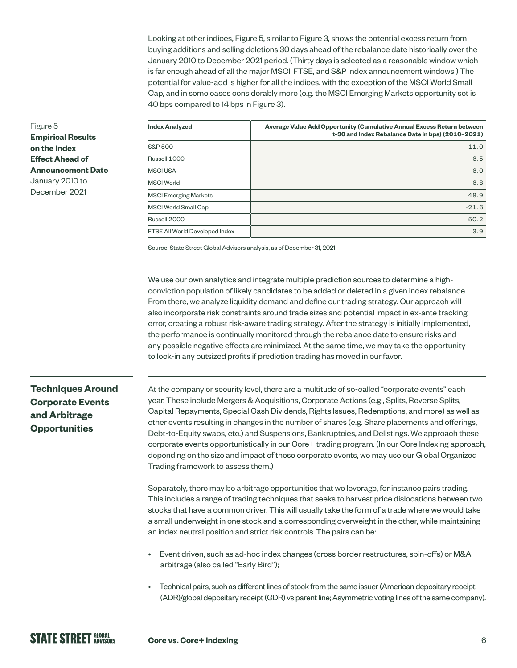Looking at other indices, Figure 5, similar to Figure 3, shows the potential excess return from buying additions and selling deletions 30 days ahead of the rebalance date historically over the January 2010 to December 2021 period. (Thirty days is selected as a reasonable window which is far enough ahead of all the major MSCI, FTSE, and S&P index announcement windows.) The potential for value-add is higher for all the indices, with the exception of the MSCI World Small Cap, and in some cases considerably more (e.g. the MSCI Emerging Markets opportunity set is 40 bps compared to 14 bps in Figure 3).

| <b>Index Analyzed</b>          | Average Value Add Opportunity (Cumulative Annual Excess Return between<br>t-30 and Index Rebalance Date in bps) (2010-2021) |
|--------------------------------|-----------------------------------------------------------------------------------------------------------------------------|
| <b>S&amp;P 500</b>             | 11.0                                                                                                                        |
| Russell 1000                   | 6.5                                                                                                                         |
| <b>MSCI USA</b>                | 6.0                                                                                                                         |
| <b>MSCI World</b>              | 6.8                                                                                                                         |
| <b>MSCI Emerging Markets</b>   | 48.9                                                                                                                        |
| MSCI World Small Cap           | $-21.6$                                                                                                                     |
| Russell 2000                   | 50.2                                                                                                                        |
| FTSE All World Developed Index | 3.9                                                                                                                         |

Source: State Street Global Advisors analysis, as of December 31, 2021.

We use our own analytics and integrate multiple prediction sources to determine a highconviction population of likely candidates to be added or deleted in a given index rebalance. From there, we analyze liquidity demand and define our trading strategy. Our approach will also incorporate risk constraints around trade sizes and potential impact in ex-ante tracking error, creating a robust risk-aware trading strategy. After the strategy is initially implemented, the performance is continually monitored through the rebalance date to ensure risks and any possible negative effects are minimized. At the same time, we may take the opportunity to lock-in any outsized profits if prediction trading has moved in our favor.

# **Techniques Around Corporate Events and Arbitrage Opportunities**

At the company or security level, there are a multitude of so-called "corporate events" each year. These include Mergers & Acquisitions, Corporate Actions (e.g., Splits, Reverse Splits, Capital Repayments, Special Cash Dividends, Rights Issues, Redemptions, and more) as well as other events resulting in changes in the number of shares (e.g. Share placements and offerings, Debt-to-Equity swaps, etc.) and Suspensions, Bankruptcies, and Delistings. We approach these corporate events opportunistically in our Core+ trading program. (In our Core Indexing approach, depending on the size and impact of these corporate events, we may use our Global Organized Trading framework to assess them.)

Separately, there may be arbitrage opportunities that we leverage, for instance pairs trading. This includes a range of trading techniques that seeks to harvest price dislocations between two stocks that have a common driver. This will usually take the form of a trade where we would take a small underweight in one stock and a corresponding overweight in the other, while maintaining an index neutral position and strict risk controls. The pairs can be:

- Event driven, such as ad-hoc index changes (cross border restructures, spin-offs) or M&A arbitrage (also called "Early Bird");
- Technical pairs, such as different lines of stock from the same issuer (American depositary receipt (ADR)/global depositary receipt (GDR) vs parent line; Asymmetric voting lines of the same company).

### Figure 5 **Empirical Results on the Index Effect Ahead of Announcement Date** January 2010 to December 2021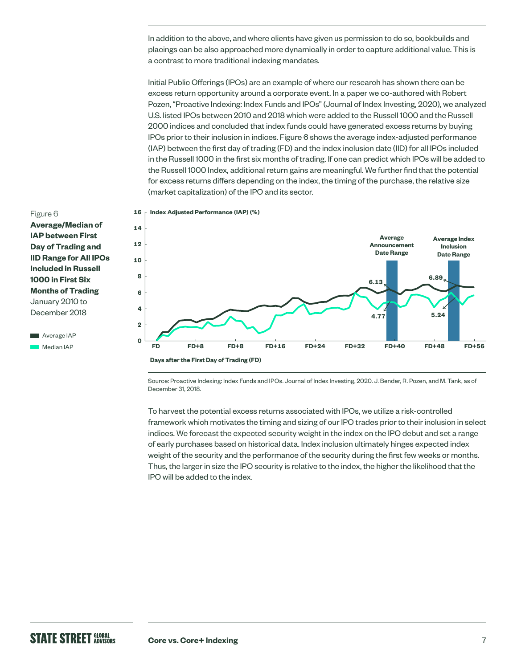In addition to the above, and where clients have given us permission to do so, bookbuilds and placings can be also approached more dynamically in order to capture additional value. This is a contrast to more traditional indexing mandates.

Initial Public Offerings (IPOs) are an example of where our research has shown there can be excess return opportunity around a corporate event. In a paper we co-authored with Robert Pozen, "Proactive Indexing: Index Funds and IPOs" (Journal of Index Investing, 2020), we analyzed U.S. listed IPOs between 2010 and 2018 which were added to the Russell 1000 and the Russell 2000 indices and concluded that index funds could have generated excess returns by buying IPOs prior to their inclusion in indices. Figure 6 shows the average index-adjusted performance (IAP) between the first day of trading (FD) and the index inclusion date (IID) for all IPOs included in the Russell 1000 in the first six months of trading. If one can predict which IPOs will be added to the Russell 1000 Index, additional return gains are meaningful. We further find that the potential for excess returns differs depending on the index, the timing of the purchase, the relative size (market capitalization) of the IPO and its sector.

- Figure 6 **Average/Median of IAP between First Day of Trading and IID Range for All IPOs Included in Russell 1000 in First Six Months of Trading** January 2010 to December 2018
- **Average IAP Median IAP**





Source: Proactive Indexing: Index Funds and IPOs. Journal of Index Investing, 2020. J. Bender, R. Pozen, and M. Tank, as of December 31, 2018.

To harvest the potential excess returns associated with IPOs, we utilize a risk-controlled framework which motivates the timing and sizing of our IPO trades prior to their inclusion in select indices. We forecast the expected security weight in the index on the IPO debut and set a range of early purchases based on historical data. Index inclusion ultimately hinges expected index weight of the security and the performance of the security during the first few weeks or months. Thus, the larger in size the IPO security is relative to the index, the higher the likelihood that the IPO will be added to the index.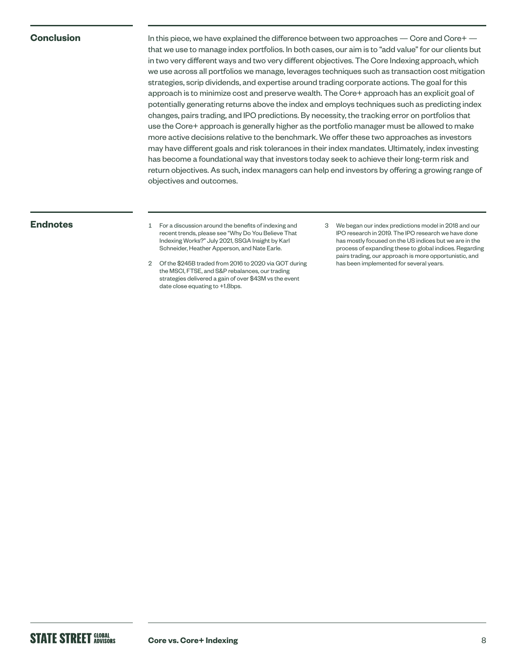### **Conclusion**

In this piece, we have explained the difference between two approaches — Core and Core+ that we use to manage index portfolios. In both cases, our aim is to "add value" for our clients but in two very different ways and two very different objectives. The Core Indexing approach, which we use across all portfolios we manage, leverages techniques such as transaction cost mitigation strategies, scrip dividends, and expertise around trading corporate actions. The goal for this approach is to minimize cost and preserve wealth. The Core+ approach has an explicit goal of potentially generating returns above the index and employs techniques such as predicting index changes, pairs trading, and IPO predictions. By necessity, the tracking error on portfolios that use the Core+ approach is generally higher as the portfolio manager must be allowed to make more active decisions relative to the benchmark. We offer these two approaches as investors may have different goals and risk tolerances in their index mandates. Ultimately, index investing has become a foundational way that investors today seek to achieve their long-term risk and return objectives. As such, index managers can help end investors by offering a growing range of objectives and outcomes.

- **Endnotes** 1 For a discussion around the benefits of indexing and recent trends, please see "Why Do You Believe That Indexing Works?" July 2021, SSGA Insight by Karl Schneider, Heather Apperson, and Nate Earle.
	- 2 Of the \$245B traded from 2016 to 2020 via GOT during the MSCI, FTSE, and S&P rebalances, our trading strategies delivered a gain of over \$43M vs the event date close equating to +1.8bps.
- 3 We began our index predictions model in 2018 and our IPO research in 2019. The IPO research we have done has mostly focused on the US indices but we are in the process of expanding these to global indices. Regarding pairs trading, our approach is more opportunistic, and has been implemented for several years.